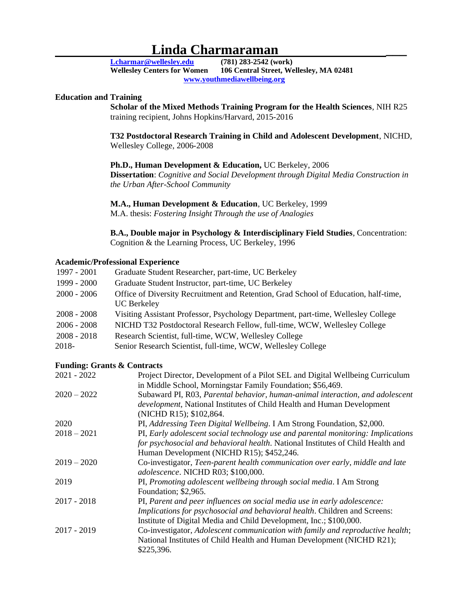# **Linda Charmaraman**<br>**Wellesley.edu** (781) 283-2542 (work)

**[Lcharmar@wellesley.edu](mailto:Lcharmar@wellesley.edu) (781) 283-2542 (work) Wellesley Centers for Women 106 Central Street, Wellesley, MA 02481 [www.youthmediawellbeing.org](http://www.youthmediawellbeing.org/)**

## **Education and Training**

**Scholar of the Mixed Methods Training Program for the Health Sciences**, NIH R25 training recipient, Johns Hopkins/Harvard, 2015-2016

**T32 Postdoctoral Research Training in Child and Adolescent Development**, NICHD, Wellesley College, 2006-2008

#### **Ph.D., Human Development & Education,** UC Berkeley, 2006

**Dissertation**: *Cognitive and Social Development through Digital Media Construction in the Urban After-School Community*

#### **M.A., Human Development & Education**, UC Berkeley, 1999

M.A. thesis: *Fostering Insight Through the use of Analogies*

**B.A., Double major in Psychology & Interdisciplinary Field Studies**, Concentration: Cognition & the Learning Process, UC Berkeley, 1996

#### **Academic/Professional Experience**

| 1997 - 2001   | Graduate Student Researcher, part-time, UC Berkeley                                 |
|---------------|-------------------------------------------------------------------------------------|
| 1999 - 2000   | Graduate Student Instructor, part-time, UC Berkeley                                 |
| $2000 - 2006$ | Office of Diversity Recruitment and Retention, Grad School of Education, half-time, |
|               | <b>UC</b> Berkeley                                                                  |
| $2008 - 2008$ | Visiting Assistant Professor, Psychology Department, part-time, Wellesley College   |
| $2006 - 2008$ | NICHD T32 Postdoctoral Research Fellow, full-time, WCW, Wellesley College           |
| $2008 - 2018$ | Research Scientist, full-time, WCW, Wellesley College                               |
| 2018-         | Senior Research Scientist, full-time, WCW, Wellesley College                        |

#### **Funding: Grants & Contracts**

| $2021 - 2022$ | Project Director, Development of a Pilot SEL and Digital Wellbeing Curriculum    |
|---------------|----------------------------------------------------------------------------------|
|               | in Middle School, Morningstar Family Foundation; \$56,469.                       |
| $2020 - 2022$ | Subaward PI, R03, Parental behavior, human-animal interaction, and adolescent    |
|               | development, National Institutes of Child Health and Human Development           |
|               | (NICHD R15); \$102,864.                                                          |
| 2020          | PI, Addressing Teen Digital Wellbeing. I Am Strong Foundation, \$2,000.          |
| $2018 - 2021$ | PI, Early adolescent social technology use and parental monitoring: Implications |
|               | for psychosocial and behavioral health. National Institutes of Child Health and  |
|               | Human Development (NICHD R15); \$452,246.                                        |
| $2019 - 2020$ | Co-investigator, Teen-parent health communication over early, middle and late    |
|               | adolescence. NICHD R03; \$100,000.                                               |
| 2019          | PI, Promoting adolescent wellbeing through social media. I Am Strong             |
|               | Foundation; \$2,965.                                                             |
| $2017 - 2018$ | PI, Parent and peer influences on social media use in early adolescence:         |
|               | Implications for psychosocial and behavioral health. Children and Screens:       |
|               | Institute of Digital Media and Child Development, Inc.; \$100,000.               |
| $2017 - 2019$ | Co-investigator, Adolescent communication with family and reproductive health;   |
|               | National Institutes of Child Health and Human Development (NICHD R21);           |
|               | \$225,396.                                                                       |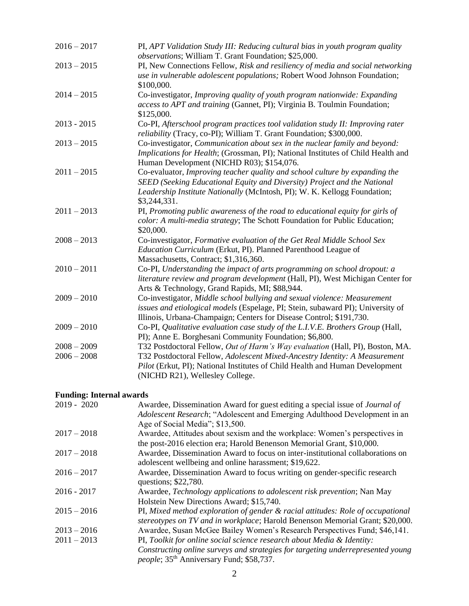| $2016 - 2017$                  | PI, APT Validation Study III: Reducing cultural bias in youth program quality<br>observations; William T. Grant Foundation; \$25,000.                                                                                                                                          |
|--------------------------------|--------------------------------------------------------------------------------------------------------------------------------------------------------------------------------------------------------------------------------------------------------------------------------|
| $2013 - 2015$                  | PI, New Connections Fellow, Risk and resiliency of media and social networking<br>use in vulnerable adolescent populations; Robert Wood Johnson Foundation;<br>\$100,000.                                                                                                      |
| $2014 - 2015$                  | Co-investigator, Improving quality of youth program nationwide: Expanding<br>access to APT and training (Gannet, PI); Virginia B. Toulmin Foundation;<br>\$125,000.                                                                                                            |
| $2013 - 2015$                  | Co-PI, Afterschool program practices tool validation study II: Improving rater<br>reliability (Tracy, co-PI); William T. Grant Foundation; \$300,000.                                                                                                                          |
| $2013 - 2015$                  | Co-investigator, Communication about sex in the nuclear family and beyond:<br>Implications for Health; (Grossman, PI); National Institutes of Child Health and<br>Human Development (NICHD R03); \$154,076.                                                                    |
| $2011 - 2015$                  | Co-evaluator, Improving teacher quality and school culture by expanding the<br>SEED (Seeking Educational Equity and Diversity) Project and the National<br>Leadership Institute Nationally (McIntosh, PI); W. K. Kellogg Foundation;<br>\$3,244,331.                           |
| $2011 - 2013$                  | PI, Promoting public awareness of the road to educational equity for girls of<br>color: A multi-media strategy; The Schott Foundation for Public Education;<br>\$20,000.                                                                                                       |
| $2008 - 2013$                  | Co-investigator, Formative evaluation of the Get Real Middle School Sex<br>Education Curriculum (Erkut, PI). Planned Parenthood League of<br>Massachusetts, Contract; \$1,316,360.                                                                                             |
| $2010 - 2011$                  | Co-PI, Understanding the impact of arts programming on school dropout: a<br>literature review and program development (Hall, PI), West Michigan Center for<br>Arts & Technology, Grand Rapids, MI; \$88,944.                                                                   |
| $2009 - 2010$                  | Co-investigator, Middle school bullying and sexual violence: Measurement<br>issues and etiological models (Espelage, PI; Stein, subaward PI); University of<br>Illinois, Urbana-Champaign; Centers for Disease Control; \$191,730.                                             |
| $2009 - 2010$                  | Co-PI, Qualitative evaluation case study of the L.I.V.E. Brothers Group (Hall,<br>PI); Anne E. Borghesani Community Foundation; \$6,800.                                                                                                                                       |
| $2008 - 2009$<br>$2006 - 2008$ | T32 Postdoctoral Fellow, Out of Harm's Way evaluation (Hall, PI), Boston, MA.<br>T32 Postdoctoral Fellow, Adolescent Mixed-Ancestry Identity: A Measurement<br>Pilot (Erkut, PI); National Institutes of Child Health and Human Development<br>(NICHD R21), Wellesley College. |

## **Funding: Internal awards**

| $2019 - 2020$ | Awardee, Dissemination Award for guest editing a special issue of <i>Journal of</i><br>Adolescent Research; "Adolescent and Emerging Adulthood Development in an |
|---------------|------------------------------------------------------------------------------------------------------------------------------------------------------------------|
|               | Age of Social Media"; \$13,500.                                                                                                                                  |
| $2017 - 2018$ | Awardee, Attitudes about sexism and the workplace: Women's perspectives in                                                                                       |
|               | the post-2016 election era; Harold Benenson Memorial Grant, \$10,000.                                                                                            |
| $2017 - 2018$ | Awardee, Dissemination Award to focus on inter-institutional collaborations on                                                                                   |
|               | adolescent wellbeing and online harassment; \$19,622.                                                                                                            |
| $2016 - 2017$ | Awardee, Dissemination Award to focus writing on gender-specific research                                                                                        |
|               | questions; \$22,780.                                                                                                                                             |
| $2016 - 2017$ | Awardee, Technology applications to adolescent risk prevention; Nan May                                                                                          |
|               | Holstein New Directions Award; \$15,740.                                                                                                                         |
| $2015 - 2016$ | PI, Mixed method exploration of gender & racial attitudes: Role of occupational                                                                                  |
|               | stereotypes on TV and in workplace; Harold Benenson Memorial Grant; \$20,000.                                                                                    |
| $2013 - 2016$ | Awardee, Susan McGee Bailey Women's Research Perspectives Fund; \$46,141.                                                                                        |
| $2011 - 2013$ | PI, Toolkit for online social science research about Media & Identity:                                                                                           |
|               | Constructing online surveys and strategies for targeting underrepresented young<br>people; 35 <sup>th</sup> Anniversary Fund; \$58,737.                          |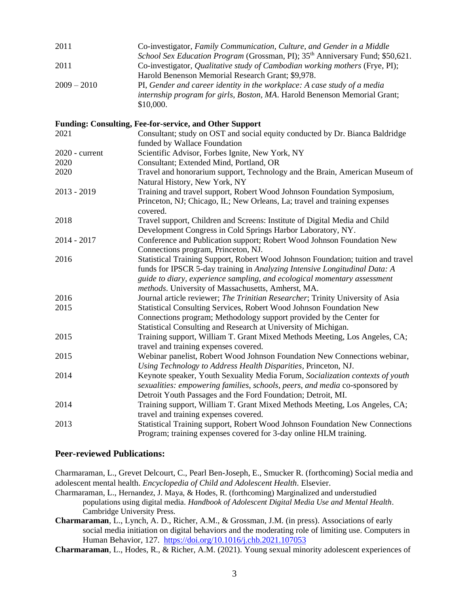| 2011           | Co-investigator, Family Communication, Culture, and Gender in a Middle<br>School Sex Education Program (Grossman, PI); 35 <sup>th</sup> Anniversary Fund; \$50,621.                                                                                                                              |
|----------------|--------------------------------------------------------------------------------------------------------------------------------------------------------------------------------------------------------------------------------------------------------------------------------------------------|
| 2011           | Co-investigator, Qualitative study of Cambodian working mothers (Frye, PI);<br>Harold Benenson Memorial Research Grant; \$9,978.                                                                                                                                                                 |
| $2009 - 2010$  | PI, Gender and career identity in the workplace: A case study of a media<br>internship program for girls, Boston, MA. Harold Benenson Memorial Grant;<br>\$10,000.                                                                                                                               |
|                | Funding: Consulting, Fee-for-service, and Other Support                                                                                                                                                                                                                                          |
| 2021           | Consultant; study on OST and social equity conducted by Dr. Bianca Baldridge<br>funded by Wallace Foundation                                                                                                                                                                                     |
| 2020 - current | Scientific Advisor, Forbes Ignite, New York, NY                                                                                                                                                                                                                                                  |
| 2020           | Consultant; Extended Mind, Portland, OR                                                                                                                                                                                                                                                          |
| 2020           | Travel and honorarium support, Technology and the Brain, American Museum of<br>Natural History, New York, NY                                                                                                                                                                                     |
| 2013 - 2019    | Training and travel support, Robert Wood Johnson Foundation Symposium,<br>Princeton, NJ; Chicago, IL; New Orleans, La; travel and training expenses<br>covered.                                                                                                                                  |
| 2018           | Travel support, Children and Screens: Institute of Digital Media and Child<br>Development Congress in Cold Springs Harbor Laboratory, NY.                                                                                                                                                        |
| 2014 - 2017    | Conference and Publication support; Robert Wood Johnson Foundation New<br>Connections program, Princeton, NJ.                                                                                                                                                                                    |
| 2016           | Statistical Training Support, Robert Wood Johnson Foundation; tuition and travel<br>funds for IPSCR 5-day training in Analyzing Intensive Longitudinal Data: A<br>guide to diary, experience sampling, and ecological momentary assessment<br>methods. University of Massachusetts, Amherst, MA. |
| 2016           | Journal article reviewer; The Trinitian Researcher; Trinity University of Asia                                                                                                                                                                                                                   |
| 2015           | Statistical Consulting Services, Robert Wood Johnson Foundation New<br>Connections program; Methodology support provided by the Center for<br>Statistical Consulting and Research at University of Michigan.                                                                                     |
| 2015           | Training support, William T. Grant Mixed Methods Meeting, Los Angeles, CA;<br>travel and training expenses covered.                                                                                                                                                                              |
| 2015           | Webinar panelist, Robert Wood Johnson Foundation New Connections webinar,<br>Using Technology to Address Health Disparities, Princeton, NJ.                                                                                                                                                      |
| 2014           | Keynote speaker, Youth Sexuality Media Forum, Socialization contexts of youth<br>sexualities: empowering families, schools, peers, and media co-sponsored by<br>Detroit Youth Passages and the Ford Foundation; Detroit, MI.                                                                     |
| 2014           | Training support, William T. Grant Mixed Methods Meeting, Los Angeles, CA;<br>travel and training expenses covered.                                                                                                                                                                              |

## **Peer-reviewed Publications:**

Charmaraman, L., Grevet Delcourt, C., Pearl Ben-Joseph, E., Smucker R. (forthcoming) Social media and adolescent mental health. *Encyclopedia of Child and Adolescent Health*. Elsevier.

2013 Statistical Training support, Robert Wood Johnson Foundation New Connections

Program; training expenses covered for 3-day online HLM training.

- Charmaraman, L., Hernandez, J. Maya, & Hodes, R. (forthcoming) Marginalized and understudied populations using digital media. *Handbook of Adolescent Digital Media Use and Mental Health*. Cambridge University Press.
- **Charmaraman**, L., Lynch, A. D., Richer, A.M., & Grossman, J.M. (in press). Associations of early social media initiation on digital behaviors and the moderating role of limiting use. Computers in Human Behavior, 127.<https://doi.org/10.1016/j.chb.2021.107053>
- **Charmaraman**, L., Hodes, R., & Richer, A.M. (2021). Young sexual minority adolescent experiences of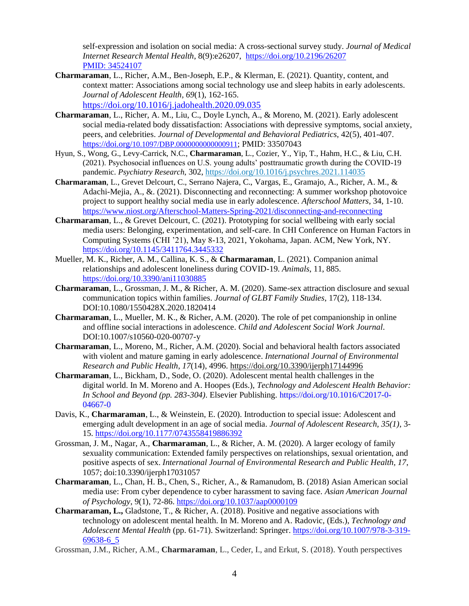self-expression and isolation on social media: A cross-sectional survey study. *Journal of Medical Internet Research Mental Health*, 8(9):e26207,<https://doi.org/10.2196/26207> PMID: 34524107

- **Charmaraman**, L., Richer, A.M., Ben-Joseph, E.P., & Klerman, E. (2021). Quantity, content, and context matter: Associations among social technology use and sleep habits in early adolescents. *Journal of Adolescent Health, 69*(1), 162-165. <https://doi.org/10.1016/j.jadohealth.2020.09.035>
- **Charmaraman**, L., Richer, A. M., Liu, C., Doyle Lynch, A., & Moreno, M. (2021). Early adolescent social media-related body dissatisfaction: Associations with depressive symptoms, social anxiety, peers, and celebrities. *Journal of Developmental and Behavioral Pediatrics*, 42(5), 401-407. [https://doi.org/](https://doi.org/10.1097/DBP.0000000000000911)[10.1097/DBP.0000000000000911](https://doi.org/10.1097/DBP.0000000000000911); PMID: 33507043
- Hyun, S., Wong, G., Levy-Carrick, N.C., **Charmaraman**, L., Cozier, Y., Yip, T., Hahm, H.C., & Liu, C.H. (2021). Psychosocial influences on U.S. young adults' posttraumatic growth during the COVID-19 pandemic. *Psychiatry Research*, 302,<https://doi.org/10.1016/j.psychres.2021.114035>
- **Charmaraman**, L., Grevet Delcourt, C., Serrano Najera, C., Vargas, E., Gramajo, A., Richer, A. M., & Adachi-Mejia, A., &. (2021). Disconnecting and reconnecting: A summer workshop photovoice project to support healthy social media use in early adolescence. *Afterschool Matters*, 34, 1-10. <https://www.niost.org/Afterschool-Matters-Spring-2021/disconnecting-and-reconnecting>
- **Charmaraman**, L., & Grevet Delcourt, C. (2021). Prototyping for social wellbeing with early social media users: Belonging, experimentation, and self-care. In CHI Conference on Human Factors in Computing Systems (CHI '21), May 8-13, 2021, Yokohama, Japan. ACM, New York, NY. <https://doi.org/10.1145/3411764.3445332>
- Mueller, M. K., Richer, A. M., Callina, K. S., & **Charmaraman**, L. (2021). Companion animal relationships and adolescent loneliness during COVID-19. *Animals*, 11, 885. <https://doi.org/10.3390/ani11030885>
- **Charmaraman**, L., Grossman, J. M., & Richer, A. M. (2020). Same-sex attraction disclosure and sexual communication topics within families. *Journal of GLBT Family Studies*, 17(2), 118-134. DOI:10.1080/1550428X.2020.1820414
- **Charmaraman**, L., Mueller, M. K., & Richer, A.M. (2020). The role of pet companionship in online and offline social interactions in adolescence. *Child and Adolescent Social Work Journal*. DOI:10.1007/s10560-020-00707-y
- **Charmaraman**, L., Moreno, M., Richer, A.M. (2020). Social and behavioral health factors associated with violent and mature gaming in early adolescence. *International Journal of Environmental Research and Public Health*, *17*(14), 4996.<https://doi.org/10.3390/ijerph17144996>
- **Charmaraman**, L., Bickham, D., Sode, O. (2020). Adolescent mental health challenges in the digital world. In M. Moreno and A. Hoopes (Eds.), *Technology and Adolescent Health Behavior: In School and Beyond (pp. 283-304)*. Elsevier Publishing. [https://doi.org/10.1016/C2017-0-](https://doi.org/10.1016/C2017-0-04667-0) [04667-0](https://doi.org/10.1016/C2017-0-04667-0)
- Davis, K., **Charmaraman**, L., & Weinstein, E. (2020). Introduction to special issue: Adolescent and emerging adult development in an age of social media. *Journal of Adolescent Research, 35(1)*, 3- 15. [https://doi.org/10.1177/0743558419886392](https://doi.org/10.1177%2F0743558419886392)
- Grossman, J. M., Nagar, A., **Charmaraman**, L., & Richer, A. M. (2020). A larger ecology of family sexuality communication: Extended family perspectives on relationships, sexual orientation, and positive aspects of sex. *International Journal of Environmental Research and Public Health, 17*, 1057; doi:10.3390/ijerph17031057
- **Charmaraman**, L., Chan, H. B., Chen, S., Richer, A., & Ramanudom, B. (2018) Asian American social media use: From cyber dependence to cyber harassment to saving face. *Asian American Journal of Psychology*, 9(1), 72-86. [https://doi.org/10.1037/aap0000109](https://doi.apa.org/doi/10.1037/aap0000109)
- **Charmaraman, L.,** Gladstone, T., & Richer, A. (2018). Positive and negative associations with technology on adolescent mental health. In M. Moreno and A. Radovic, (Eds.), *Technology and Adolescent Mental Health* (pp. 61-71). Switzerland: Springer. [https://doi.org/10.1007/978-3-319-](https://doi.org/10.1007/978-3-319-69638-6_5) [69638-6\\_5](https://doi.org/10.1007/978-3-319-69638-6_5)
- Grossman, J.M., Richer, A.M., **Charmaraman**, L., Ceder, I., and Erkut, S. (2018). Youth perspectives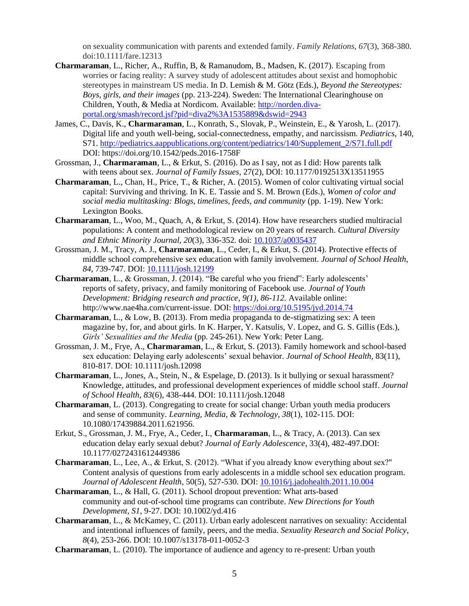on sexuality communication with parents and extended family. *Family Relations, 67*(3), 368-380. doi:10.1111/fare.12313

- **Charmaraman**, L., Richer, A., Ruffin, B, & Ramanudom, B., Madsen, K. (2017). Escaping from worries or facing reality: A survey study of adolescent attitudes about sexist and homophobic stereotypes in mainstream US media. In D. Lemish & M. Götz (Eds.), *Beyond the Stereotypes: Boys, girls, and their images* (pp. 213-224). Sweden: The International Clearinghouse on Children, Youth, & Media at Nordicom. Available[: http://norden.diva](http://norden.diva-portal.org/smash/record.jsf?pid=diva2%3A1535889&dswid=2943)[portal.org/smash/record.jsf?pid=diva2%3A1535889&dswid=2943](http://norden.diva-portal.org/smash/record.jsf?pid=diva2%3A1535889&dswid=2943)
- James, C., Davis, K., **Charmaraman**, L., Konrath, S., Slovak, P., Weinstein, E., & Yarosh, L. (2017). Digital life and youth well-being, social-connectedness, empathy, and narcissism. *Pediatrics*, 140, S71[. http://pediatrics.aappublications.org/content/pediatrics/140/Supplement\\_2/S71.full.pdf](http://pediatrics.aappublications.org/content/pediatrics/140/Supplement_2/S71.full.pdf) DOI: https://doi.org/10.1542/peds.2016-1758F
- Grossman, J., **Charmaraman**, L., & Erkut, S. (2016). Do as I say, not as I did: How parents talk with teens about sex. *Journal of Family Issues*, 27(2), DOI: 10.1177/0192513X13511955
- **Charmaraman**, L., Chan, H., Price, T., & Richer, A. (2015). Women of color cultivating virtual social capital: Surviving and thriving. In K. E. Tassie and S. M. Brown (Eds.), *Women of color and social media multitasking: Blogs, timelines, feeds, and community* (pp. 1-19). New York: Lexington Books.
- **Charmaraman**, L., Woo, M., Quach, A, & Erkut, S. (2014). How have researchers studied multiracial populations: A content and methodological review on 20 years of research. *Cultural Diversity and Ethnic Minority Journal, 20*(3), 336-352*.* doi: [10.1037/a0035437](https://dx.doi.org/10.1037%2Fa0035437)
- Grossman, J. M., Tracy, A. J., **Charmaraman**, L., Ceder, I., & Erkut, S. (2014). Protective effects of middle school comprehensive sex education with family involvement. *Journal of School Health*, *84*, 739-747. DOI: [10.1111/josh.12199](https://doi.org/10.1111/josh.12199)
- **Charmaraman**, L., & Grossman, J. (2014). "Be careful who you friend": Early adolescents' reports of safety, privacy, and family monitoring of Facebook use. *Journal of Youth Development: Bridging research and practice, 9(1), 86-112. Available online:* http://www.nae4ha.com/current-issue. DOI: <https://doi.org/10.5195/jyd.2014.74>
- **Charmaraman**, L., & Low, B. (2013). From media propaganda to de-stigmatizing sex: A teen magazine by, for, and about girls. In K. Harper, Y. Katsulis, V. Lopez, and G. S. Gillis (Eds.), *Girls' Sexualities and the Media* (pp. 245-261). New York: Peter Lang.
- Grossman, J. M., Frye, A., **Charmaraman**, L., & Erkut, S. (2013). Family homework and school-based sex education: Delaying early adolescents' sexual behavior. *Journal of School Health*, 83(11), 810-817. DOI: 10.1111/josh.12098
- **Charmaraman**, L., Jones, A., Stein, N., & Espelage, D. (2013). Is it bullying or sexual harassment? Knowledge, attitudes, and professional development experiences of middle school staff. *Journal of School Health*, *83*(6), 438-444. DOI: 10.1111/josh.12048
- **Charmaraman**, L. (2013). Congregating to create for social change: Urban youth media producers and sense of community. *Learning, Media, & Technology*, *38*(1), 102-115. DOI: 10.1080/17439884.2011.621956.
- Erkut, S., Grossman, J. M., Frye, A., Ceder, I., **Charmaraman**, L., & Tracy, A. (2013). Can sex education delay early sexual debut? *Journal of Early Adolescence*, 33(4), 482-497.DOI: 10.1177/0272431612449386
- **Charmaraman**, L., Lee, A., & Erkut, S. (2012). "What if you already know everything about sex?" Content analysis of questions from early adolescents in a middle school sex education program. *Journal of Adolescent Health*, 50(5), 527-530. DOI: [10.1016/j.jadohealth.2011.10.004](https://doi.org/10.1016/j.jadohealth.2011.10.004)
- **Charmaraman**, L., & Hall, G. (2011). School dropout prevention: What arts-based community and out-of-school time programs can contribute. *New Directions for Youth Development*, *S1*, 9-27. DOI: 10.1002/yd.416
- **Charmaraman**, L., & McKamey, C. (2011). Urban early adolescent narratives on sexuality: Accidental and intentional influences of family, peers, and the media. *Sexuality Research and Social Policy*, *8*(4), 253-266. DOI: 10.1007/s13178-011-0052-3
- **Charmaraman**, L. (2010). The importance of audience and agency to re-present: Urban youth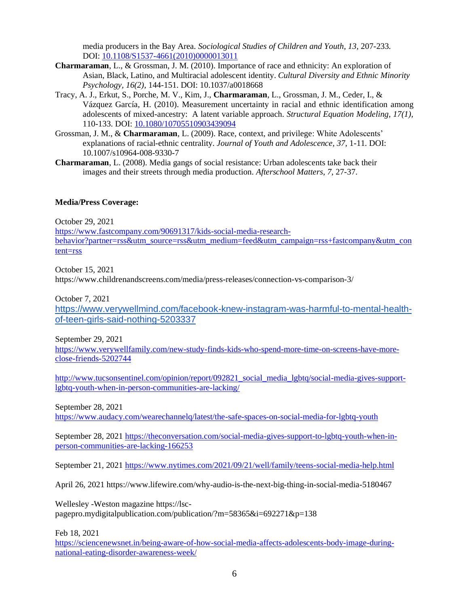media producers in the Bay Area*. Sociological Studies of Children and Youth, 13,* 207-233*.* DOI: [10.1108/S1537-4661\(2010\)0000013011](https://doi.org/10.1108/s1537-4661(2010)0000013011)

- **Charmaraman**, L., & Grossman, J. M. (2010). Importance of race and ethnicity: An exploration of Asian, Black, Latino, and Multiracial adolescent identity. *Cultural Diversity and Ethnic Minority Psychology, 16(2),* 144-151. DOI: 10.1037/a0018668
- Tracy, A. J., Erkut, S., Porche, M. V., Kim, J., **Charmaraman**, L., Grossman, J. M., Ceder, I., & Vázquez García, H. (2010). Measurement uncertainty in racial and ethnic identification among adolescents of mixed-ancestry: A latent variable approach. *Structural Equation Modeling, 17(1),*  110-133. DOI: [10.1080/10705510903439094](https://doi.org/10.1080/10705510903439094)
- Grossman, J. M., & **Charmaraman**, L. (2009). Race, context, and privilege: White Adolescents' explanations of racial-ethnic centrality. *Journal of Youth and Adolescence, 37,* 1-11*.* DOI: 10.1007/s10964-008-9330-7
- **Charmaraman**, L. (2008). Media gangs of social resistance: Urban adolescents take back their images and their streets through media production. *Afterschool Matters*, *7*, 27-37.

## **Media/Press Coverage:**

October 29, 2021

[https://www.fastcompany.com/90691317/kids-social-media-research](https://www.fastcompany.com/90691317/kids-social-media-research-behavior?partner=rss&utm_source=rss&utm_medium=feed&utm_campaign=rss+fastcompany&utm_content=rss)[behavior?partner=rss&utm\\_source=rss&utm\\_medium=feed&utm\\_campaign=rss+fastcompany&utm\\_con](https://www.fastcompany.com/90691317/kids-social-media-research-behavior?partner=rss&utm_source=rss&utm_medium=feed&utm_campaign=rss+fastcompany&utm_content=rss) [tent=rss](https://www.fastcompany.com/90691317/kids-social-media-research-behavior?partner=rss&utm_source=rss&utm_medium=feed&utm_campaign=rss+fastcompany&utm_content=rss)

October 15, 2021

https://www.childrenandscreens.com/media/press-releases/connection-vs-comparison-3/

October 7, 2021

[https://www.verywellmind.com/facebook-knew-instagram-was-harmful-to-mental-health](https://www.verywellmind.com/facebook-knew-instagram-was-harmful-to-mental-health-of-teen-girls-said-nothing-5203337)[of-teen-girls-said-nothing-5203337](https://www.verywellmind.com/facebook-knew-instagram-was-harmful-to-mental-health-of-teen-girls-said-nothing-5203337)

September 29, 2021

[https://www.verywellfamily.com/new-study-finds-kids-who-spend-more-time-on-screens-have-more](https://www.verywellfamily.com/new-study-finds-kids-who-spend-more-time-on-screens-have-more-close-friends-5202744)[close-friends-5202744](https://www.verywellfamily.com/new-study-finds-kids-who-spend-more-time-on-screens-have-more-close-friends-5202744)

http://www.tucsonsentinel.com/opinion/report/092821 social media lgbtq/social-media-gives-support[lgbtq-youth-when-in-person-communities-are-lacking/](http://www.tucsonsentinel.com/opinion/report/092821_social_media_lgbtq/social-media-gives-support-lgbtq-youth-when-in-person-communities-are-lacking/)

September 28, 2021

<https://www.audacy.com/wearechannelq/latest/the-safe-spaces-on-social-media-for-lgbtq-youth>

September 28, 2021 [https://theconversation.com/social-media-gives-support-to-lgbtq-youth-when-in](https://theconversation.com/social-media-gives-support-to-lgbtq-youth-when-in-person-communities-are-lacking-166253)[person-communities-are-lacking-166253](https://theconversation.com/social-media-gives-support-to-lgbtq-youth-when-in-person-communities-are-lacking-166253)

September 21, 2021<https://www.nytimes.com/2021/09/21/well/family/teens-social-media-help.html>

April 26, 2021 https://www.lifewire.com/why-audio-is-the-next-big-thing-in-social-media-5180467

Wellesley -Weston magazine https://lscpagepro.mydigitalpublication.com/publication/?m=58365&i=692271&p=138

Feb 18, 2021

[https://sciencenewsnet.in/being-aware-of-how-social-media-affects-adolescents-body-image-during](https://sciencenewsnet.in/being-aware-of-how-social-media-affects-adolescents-body-image-during-national-eating-disorder-awareness-week/)[national-eating-disorder-awareness-week/](https://sciencenewsnet.in/being-aware-of-how-social-media-affects-adolescents-body-image-during-national-eating-disorder-awareness-week/)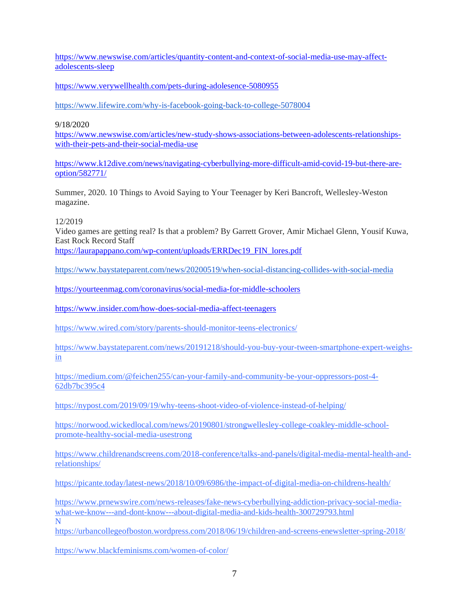[https://www.newswise.com/articles/quantity-content-and-context-of-social-media-use-may-affect](https://www.newswise.com/articles/quantity-content-and-context-of-social-media-use-may-affect-adolescents-sleep)[adolescents-sleep](https://www.newswise.com/articles/quantity-content-and-context-of-social-media-use-may-affect-adolescents-sleep)

<https://www.verywellhealth.com/pets-during-adolesence-5080955>

<https://www.lifewire.com/why-is-facebook-going-back-to-college-5078004>

9/18/2020

[https://www.newswise.com/articles/new-study-shows-associations-between-adolescents-relationships](https://www.newswise.com/articles/new-study-shows-associations-between-adolescents-relationships-with-their-pets-and-their-social-media-use)[with-their-pets-and-their-social-media-use](https://www.newswise.com/articles/new-study-shows-associations-between-adolescents-relationships-with-their-pets-and-their-social-media-use)

[https://www.k12dive.com/news/navigating-cyberbullying-more-difficult-amid-covid-19-but-there-are](https://www.k12dive.com/news/navigating-cyberbullying-more-difficult-amid-covid-19-but-there-are-option/582771/)[option/582771/](https://www.k12dive.com/news/navigating-cyberbullying-more-difficult-amid-covid-19-but-there-are-option/582771/)

Summer, 2020. 10 Things to Avoid Saying to Your Teenager by Keri Bancroft, Wellesley-Weston magazine.

12/2019

Video games are getting real? Is that a problem? By Garrett Grover, Amir Michael Glenn, Yousif Kuwa, East Rock Record Staff

[https://laurapappano.com/wp-content/uploads/ERRDec19\\_FIN\\_lores.pdf](https://laurapappano.com/wp-content/uploads/ERRDec19_FIN_lores.pdf)

<https://www.baystateparent.com/news/20200519/when-social-distancing-collides-with-social-media>

<https://yourteenmag.com/coronavirus/social-media-for-middle-schoolers>

<https://www.insider.com/how-does-social-media-affect-teenagers>

<https://www.wired.com/story/parents-should-monitor-teens-electronics/>

[https://www.baystateparent.com/news/20191218/should-you-buy-your-tween-smartphone-expert-weighs](https://www.baystateparent.com/news/20191218/should-you-buy-your-tween-smartphone-expert-weighs-in)[in](https://www.baystateparent.com/news/20191218/should-you-buy-your-tween-smartphone-expert-weighs-in) 

[https://medium.com/@feichen255/can-your-family-and-community-be-your-oppressors-post-4-](https://medium.com/@feichen255/can-your-family-and-community-be-your-oppressors-post-4-62db7bc395c4) [62db7bc395c4](https://medium.com/@feichen255/can-your-family-and-community-be-your-oppressors-post-4-62db7bc395c4)

<https://nypost.com/2019/09/19/why-teens-shoot-video-of-violence-instead-of-helping/>

[https://norwood.wickedlocal.com/news/20190801/strongwellesley-college-coakley-middle-school](https://norwood.wickedlocal.com/news/20190801/strongwellesley-college-coakley-middle-school-promote-healthy-social-media-usestrong)[promote-healthy-social-media-usestrong](https://norwood.wickedlocal.com/news/20190801/strongwellesley-college-coakley-middle-school-promote-healthy-social-media-usestrong)

[https://www.childrenandscreens.com/2018-conference/talks-and-panels/digital-media-mental-health-and](https://www.childrenandscreens.com/2018-conference/talks-and-panels/digital-media-mental-health-and-relationships/)[relationships/](https://www.childrenandscreens.com/2018-conference/talks-and-panels/digital-media-mental-health-and-relationships/)

<https://picante.today/latest-news/2018/10/09/6986/the-impact-of-digital-media-on-childrens-health/>

[https://www.prnewswire.com/news-releases/fake-news-cyberbullying-addiction-privacy-social-media](https://www.prnewswire.com/news-releases/fake-news-cyberbullying-addiction-privacy-social-media-what-we-know---and-dont-know---about-digital-media-and-kids-health-300729793.html)[what-we-know---and-dont-know---about-digital-media-and-kids-health-300729793.html](https://www.prnewswire.com/news-releases/fake-news-cyberbullying-addiction-privacy-social-media-what-we-know---and-dont-know---about-digital-media-and-kids-health-300729793.html) N

<https://urbancollegeofboston.wordpress.com/2018/06/19/children-and-screens-enewsletter-spring-2018/>

<https://www.blackfeminisms.com/women-of-color/>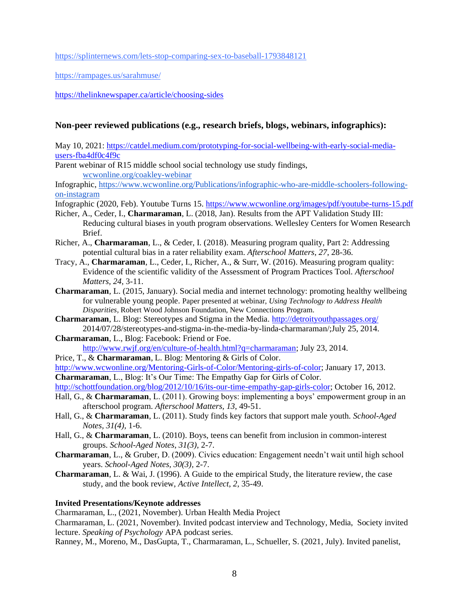<https://splinternews.com/lets-stop-comparing-sex-to-baseball-1793848121>

<https://rampages.us/sarahmuse/>

<https://thelinknewspaper.ca/article/choosing-sides>

## **Non-peer reviewed publications (e.g., research briefs, blogs, webinars, infographics):**

May 10, 2021: [https://catdel.medium.com/prototyping-for-social-wellbeing-with-early-social-media](https://catdel.medium.com/prototyping-for-social-wellbeing-with-early-social-media-users-fba4df0c4f9c)[users-fba4df0c4f9c](https://catdel.medium.com/prototyping-for-social-wellbeing-with-early-social-media-users-fba4df0c4f9c)

Parent webinar of R15 middle school social technology use study findings, [wcwonline.org/coakley-webinar](http://wcwonline.org/coakley-webinar)

Infographic, [https://www.wcwonline.org/Publications/infographic-who-are-middle-schoolers-following](https://www.wcwonline.org/Publications/infographic-who-are-middle-schoolers-following-on-instagram)[on-instagram](https://www.wcwonline.org/Publications/infographic-who-are-middle-schoolers-following-on-instagram)

Infographic (2020, Feb). Youtube Turns 15[. https://www.wcwonline.org/images/pdf/youtube-turns-15.pdf](https://www.wcwonline.org/images/pdf/youtube-turns-15.pdf)

- Richer, A., Ceder, I., **Charmaraman**, L. (2018, Jan). Results from the APT Validation Study III: Reducing cultural biases in youth program observations. Wellesley Centers for Women Research Brief.
- Richer, A., **Charmaraman**, L., & Ceder, I. (2018). Measuring program quality, Part 2: Addressing potential cultural bias in a rater reliability exam. *Afterschool Matters*, *27*, 28-36.
- Tracy, A., **Charmaraman**, L., Ceder, I., Richer, A., & Surr, W. (2016). Measuring program quality: Evidence of the scientific validity of the Assessment of Program Practices Tool. *Afterschool Matters, 24*, 3-11.
- **Charmaraman**, L. (2015, January). Social media and internet technology: promoting healthy wellbeing for vulnerable young people. Paper presented at webinar, *Using Technology to Address Health Disparities,* Robert Wood Johnson Foundation, New Connections Program.
- **Charmaraman**, L. Blog: Stereotypes and Stigma in the Media.<http://detroityouthpassages.org/> 2014/07/28/stereotypes-and-stigma-in-the-media-by-linda-charmaraman/;July 25, 2014.
- **Charmaraman**, L., Blog: Facebook: Friend or Foe. [http://www.rwjf.org/en/culture-of-health.html?q=charmaraman;](http://www.rwjf.org/en/culture-of-health.html?q=charmaraman) July 23, 2014.
- Price, T., & **Charmaraman**, L. Blog: Mentoring & Girls of Color.

[http://www.wcwonline.org/Mentoring-Girls-of-Color/Mentoring-girls-of-color;](http://www.wcwonline.org/Mentoring-Girls-of-Color/Mentoring-girls-of-color) January 17, 2013. **Charmaraman**, L., Blog: It's Our Time: The Empathy Gap for Girls of Color.

[http://schottfoundation.org/blog/2012/10/16/its-our-time-empathy-gap-girls-color;](http://schottfoundation.org/blog/2012/10/16/its-our-time-empathy-gap-girls-color) October 16, 2012.

- Hall, G., & **Charmaraman**, L. (2011). Growing boys: implementing a boys' empowerment group in an afterschool program. *Afterschool Matters, 13*, 49-51.
- Hall, G., & **Charmaraman**, L. (2011). Study finds key factors that support male youth*. School-Aged Notes, 31(4),* 1-6.
- Hall, G., & **Charmaraman**, L. (2010). Boys, teens can benefit from inclusion in common-interest groups. *School-Aged Notes*, *31(3),* 2-7.
- **Charmaraman**, L., & Gruber, D. (2009). Civics education: Engagement needn't wait until high school years. *School-Aged Notes, 30(3),* 2-7.
- **Charmaraman**, L. & Wai, J. (1996). A Guide to the empirical Study, the literature review, the case study, and the book review, *Active Intellect*, *2*, 35-49.

## **Invited Presentations/Keynote addresses**

Charmaraman, L., (2021, November). Urban Health Media Project

Charmaraman, L. (2021, November). Invited podcast interview and Technology, Media, Society invited lecture. *Speaking of Psychology* APA podcast series.

Ranney, M., Moreno, M., DasGupta, T., Charmaraman, L., Schueller, S. (2021, July). Invited panelist,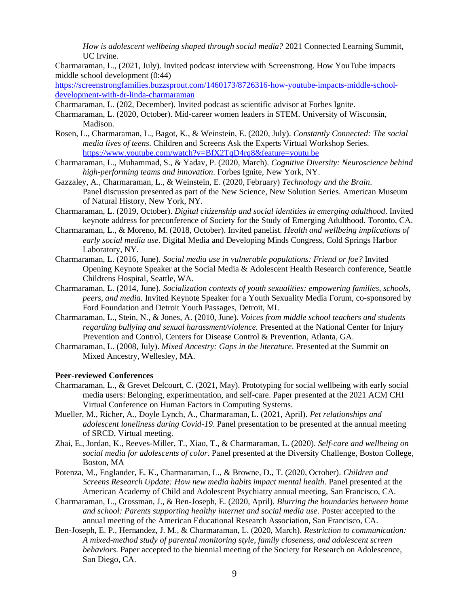*How is adolescent wellbeing shaped through social media?* 2021 Connected Learning Summit, UC Irvine.

Charmaraman, L., (2021, July). Invited podcast interview with Screenstrong. How YouTube impacts middle school development (0:44)

[https://screenstrongfamilies.buzzsprout.com/1460173/8726316-how-youtube-impacts-middle-school](https://screenstrongfamilies.buzzsprout.com/1460173/8726316-how-youtube-impacts-middle-school-development-with-dr-linda-charmaraman)[development-with-dr-linda-charmaraman](https://screenstrongfamilies.buzzsprout.com/1460173/8726316-how-youtube-impacts-middle-school-development-with-dr-linda-charmaraman)

Charmaraman, L. (202, December). Invited podcast as scientific advisor at Forbes Ignite.

Charmaraman, L. (2020, October). Mid-career women leaders in STEM. University of Wisconsin, Madison.

- Rosen, L., Charmaraman, L., Bagot, K., & Weinstein, E. (2020, July). *Constantly Connected: The social media lives of teens*. Children and Screens Ask the Experts Virtual Workshop Series. <https://www.youtube.com/watch?v=BfX2TqD4rq8&feature=youtu.be>
- Charmaraman, L., Muhammad, S., & Yadav, P. (2020, March). *Cognitive Diversity: Neuroscience behind high-performing teams and innovation*. Forbes Ignite, New York, NY.
- Gazzaley, A., Charmaraman, L., & Weinstein, E. (2020, February) *Technology and the Brain*. Panel discussion presented as part of the New Science, New Solution Series. American Museum of Natural History, New York, NY.
- Charmaraman, L. (2019, October). *Digital citizenship and social identities in emerging adulthood*. Invited keynote address for preconference of Society for the Study of Emerging Adulthood. Toronto, CA.
- Charmaraman, L., & Moreno, M. (2018, October). Invited panelist. *Health and wellbeing implications of early social media use*. Digital Media and Developing Minds Congress, Cold Springs Harbor Laboratory, NY.
- Charmaraman, L. (2016, June). *Social media use in vulnerable populations: Friend or foe?* Invited Opening Keynote Speaker at the Social Media & Adolescent Health Research conference, Seattle Childrens Hospital, Seattle, WA.
- Charmaraman, L. (2014, June). *Socialization contexts of youth sexualities: empowering families, schools, peers, and media.* Invited Keynote Speaker for a Youth Sexuality Media Forum, co-sponsored by Ford Foundation and Detroit Youth Passages, Detroit, MI.
- Charmaraman, L., Stein, N., & Jones, A. (2010, June). *Voices from middle school teachers and students regarding bullying and sexual harassment/violence.* Presented at the National Center for Injury Prevention and Control, Centers for Disease Control & Prevention, Atlanta, GA.
- Charmaraman, L. (2008, July). *Mixed Ancestry: Gaps in the literature*. Presented at the Summit on Mixed Ancestry, Wellesley, MA.

#### **Peer-reviewed Conferences**

- Charmaraman, L., & Grevet Delcourt, C. (2021, May). Prototyping for social wellbeing with early social media users: Belonging, experimentation, and self-care. Paper presented at the 2021 ACM CHI Virtual Conference on Human Factors in Computing Systems.
- Mueller, M., Richer, A., Doyle Lynch, A., Charmaraman, L. (2021, April). *Pet relationships and adolescent loneliness during Covid-19*. Panel presentation to be presented at the annual meeting of SRCD, Virtual meeting.
- Zhai, E., Jordan, K., Reeves-Miller, T., Xiao, T., & Charmaraman, L. (2020). *Self-care and wellbeing on social media for adolescents of color*. Panel presented at the Diversity Challenge, Boston College, Boston, MA
- Potenza, M., Englander, E. K., Charmaraman, L., & Browne, D., T. (2020, October). *Children and Screens Research Update: How new media habits impact mental health*. Panel presented at the American Academy of Child and Adolescent Psychiatry annual meeting, San Francisco, CA.
- Charmaraman, L., Grossman, J., & Ben-Joseph, E. (2020, April). *Blurring the boundaries between home and school: Parents supporting healthy internet and social media use*. Poster accepted to the annual meeting of the American Educational Research Association, San Francisco, CA.
- Ben-Joseph, E. P., Hernandez, J. M., & Charmaraman, L. (2020, March). *Restriction to communication: A mixed-method study of parental monitoring style, family closeness, and adolescent screen behaviors*. Paper accepted to the biennial meeting of the Society for Research on Adolescence, San Diego, CA.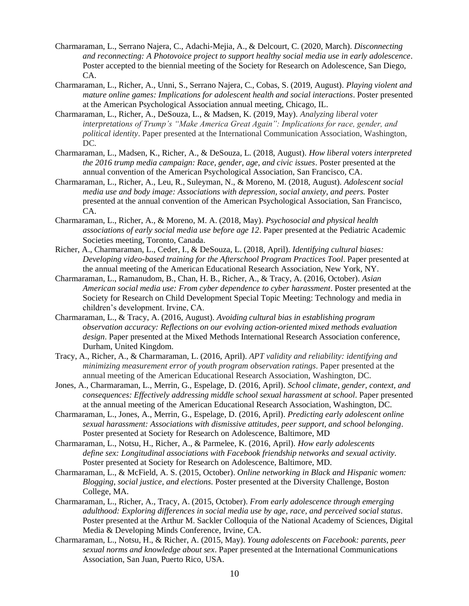- Charmaraman, L., Serrano Najera, C., Adachi-Mejia, A., & Delcourt, C. (2020, March). *Disconnecting and reconnecting: A Photovoice project to support healthy social media use in early adolescence*. Poster accepted to the biennial meeting of the Society for Research on Adolescence, San Diego, CA.
- Charmaraman, L., Richer, A., Unni, S., Serrano Najera, C., Cobas, S. (2019, August). *Playing violent and mature online games: Implications for adolescent health and social interactions*. Poster presented at the American Psychological Association annual meeting, Chicago, IL.
- Charmaraman, L., Richer, A., DeSouza, L., & Madsen, K. (2019, May). *Analyzing liberal voter interpretations of Trump's "Make America Great Again": Implications for race, gender, and political identity*. Paper presented at the International Communication Association, Washington, DC.
- Charmaraman, L., Madsen, K., Richer, A., & DeSouza, L. (2018, August). *How liberal voters interpreted the 2016 trump media campaign: Race, gender, age, and civic issues*. Poster presented at the annual convention of the American Psychological Association, San Francisco, CA.
- Charmaraman, L., Richer, A., Leu, R., Suleyman, N., & Moreno, M. (2018, August). *Adolescent social media use and body image: Associations with depression, social anxiety, and peers.* Poster presented at the annual convention of the American Psychological Association, San Francisco, CA.
- Charmaraman, L., Richer, A., & Moreno, M. A. (2018, May). *Psychosocial and physical health associations of early social media use before age 12*. Paper presented at the Pediatric Academic Societies meeting, Toronto, Canada.
- Richer, A., Charmaraman, L., Ceder, I., & DeSouza, L. (2018, April). *Identifying cultural biases: Developing video-based training for the Afterschool Program Practices Tool*. Paper presented at the annual meeting of the American Educational Research Association, New York, NY.
- Charmaraman, L., Ramanudom, B., Chan, H. B., Richer, A., & Tracy, A. (2016, October). *Asian American social media use: From cyber dependence to cyber harassment*. Poster presented at the Society for Research on Child Development Special Topic Meeting: Technology and media in children's development. Irvine, CA.
- Charmaraman, L., & Tracy, A. (2016, August). *Avoiding cultural bias in establishing program observation accuracy: Reflections on our evolving action-oriented mixed methods evaluation design*. Paper presented at the Mixed Methods International Research Association conference, Durham, United Kingdom.
- Tracy, A., Richer, A., & Charmaraman, L. (2016, April). *APT validity and reliability: identifying and minimizing measurement error of youth program observation ratings*. Paper presented at the annual meeting of the American Educational Research Association, Washington, DC.
- Jones, A., Charmaraman, L., Merrin, G., Espelage, D. (2016, April). *School climate, gender, context, and consequences: Effectively addressing middle school sexual harassment at school*. Paper presented at the annual meeting of the American Educational Research Association, Washington, DC.
- Charmaraman, L., Jones, A., Merrin, G., Espelage, D. (2016, April). *Predicting early adolescent online sexual harassment: Associations with dismissive attitudes, peer support, and school belonging*. Poster presented at Society for Research on Adolescence, Baltimore, MD
- Charmaraman, L., Notsu, H., Richer, A., & Parmelee, K. (2016, April). *How early adolescents define sex: Longitudinal associations with Facebook friendship networks and sexual activity.*  Poster presented at Society for Research on Adolescence, Baltimore, MD.
- Charmaraman, L., & McField, A. S. (2015, October). *Online networking in Black and Hispanic women: Blogging, social justice, and elections.* Poster presented at the Diversity Challenge, Boston College, MA.
- Charmaraman*,* L., Richer, A., Tracy, A. (2015, October). *From early adolescence through emerging adulthood: Exploring differences in social media use by age, race, and perceived social status*. Poster presented at the Arthur M. Sackler Colloquia of the National Academy of Sciences, Digital Media & Developing Minds Conference, Irvine, CA.
- Charmaraman, L., Notsu, H., & Richer, A. (2015, May). *Young adolescents on Facebook: parents, peer sexual norms and knowledge about sex*. Paper presented at the International Communications Association, San Juan, Puerto Rico, USA.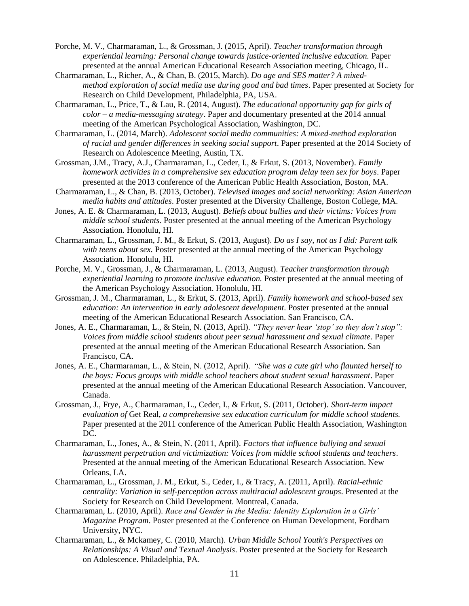- Porche, M. V., Charmaraman, L., & Grossman, J. (2015, April)*. Teacher transformation through experiential learning: Personal change towards justice-oriented inclusive education.* Paper presented at the annual American Educational Research Association meeting, Chicago, IL.
- Charmaraman, L., Richer, A., & Chan, B. (2015, March). *Do age and SES matter? A mixedmethod exploration of social media use during good and bad times*. Paper presented at Society for Research on Child Development, Philadelphia, PA, USA.
- Charmaraman, L., Price, T., & Lau, R. (2014, August). *The educational opportunity gap for girls of color – a media-messaging strategy*. Paper and documentary presented at the 2014 annual meeting of the American Psychological Association, Washington, DC.
- Charmaraman, L. (2014, March). *Adolescent social media communities: A mixed-method exploration of racial and gender differences in seeking social support*. Paper presented at the 2014 Society of Research on Adolescence Meeting, Austin, TX.
- Grossman, J.M., Tracy, A.J., Charmaraman, L., Ceder, I., & Erkut, S. (2013, November). *Family homework activities in a comprehensive sex education program delay teen sex for boys*. Paper presented at the 2013 conference of the American Public Health Association, Boston, MA.
- Charmaraman, L., & Chan, B. (2013, October). *Televised images and social networking: Asian American media habits and attitudes*. Poster presented at the Diversity Challenge, Boston College, MA.
- Jones, A. E. & Charmaraman, L. (2013, August). *Beliefs about bullies and their victims: Voices from middle school students.* Poster presented at the annual meeting of the American Psychology Association. Honolulu, HI.
- Charmaraman, L., Grossman, J. M., & Erkut, S. (2013, August). *Do as I say, not as I did: Parent talk with teens about sex.* Poster presented at the annual meeting of the American Psychology Association. Honolulu, HI.
- Porche, M. V., Grossman, J., & Charmaraman, L*.* (2013, August). *Teacher transformation through experiential learning to promote inclusive education.* Poster presented at the annual meeting of the American Psychology Association. Honolulu, HI.
- Grossman, J. M., Charmaraman, L., & Erkut, S. (2013, April). *Family homework and school-based sex education: An intervention in early adolescent development*. Poster presented at the annual meeting of the American Educational Research Association. San Francisco, CA.
- Jones, A. E., Charmaraman, L., & Stein, N. (2013, April). *"They never hear 'stop' so they don't stop": Voices from middle school students about peer sexual harassment and sexual climate*. Paper presented at the annual meeting of the American Educational Research Association. San Francisco, CA.
- Jones, A. E., Charmaraman, L., & Stein, N. (2012, April). "*She was a cute girl who flaunted herself to the boys: Focus groups with middle school teachers about student sexual harassment*. Paper presented at the annual meeting of the American Educational Research Association. Vancouver, Canada.
- Grossman, J., Frye, A., Charmaraman, L., Ceder, I., & Erkut, S. (2011, October). *Short-term impact evaluation of* Get Real*, a comprehensive sex education curriculum for middle school students.* Paper presented at the 2011 conference of the American Public Health Association, Washington DC.
- Charmaraman, L., Jones, A., & Stein, N. (2011, April). *Factors that influence bullying and sexual harassment perpetration and victimization: Voices from middle school students and teachers*. Presented at the annual meeting of the American Educational Research Association. New Orleans, LA.
- Charmaraman, L., Grossman, J. M., Erkut, S., Ceder, I., & Tracy, A. (2011, April). *Racial-ethnic centrality: Variation in self-perception across multiracial adolescent groups*. Presented at the Society for Research on Child Development. Montreal, Canada.
- Charmaraman, L. (2010, April). *Race and Gender in the Media: Identity Exploration in a Girls' Magazine Program*. Poster presented at the Conference on Human Development, Fordham University, NYC.
- Charmaraman, L., & Mckamey, C. (2010, March). *Urban Middle School Youth's Perspectives on Relationships: A Visual and Textual Analysis*. Poster presented at the Society for Research on Adolescence. Philadelphia, PA.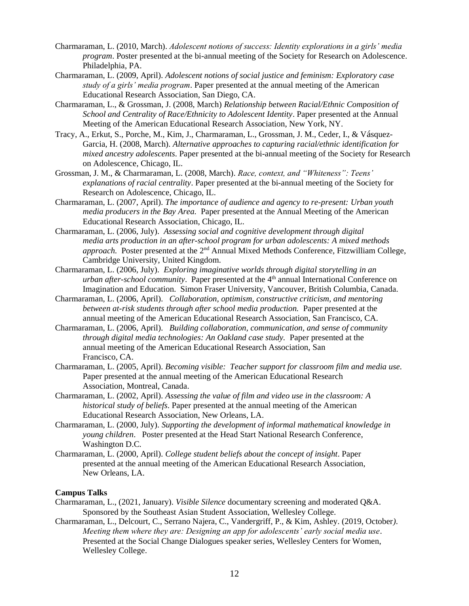- Charmaraman, L. (2010, March). *Adolescent notions of success: Identity explorations in a girls' media program*. Poster presented at the bi-annual meeting of the Society for Research on Adolescence. Philadelphia, PA.
- Charmaraman, L. (2009, April). *Adolescent notions of social justice and feminism: Exploratory case study of a girls' media program*. Paper presented at the annual meeting of the American Educational Research Association, San Diego, CA.
- Charmaraman, L., & Grossman, J. (2008, March) *Relationship between Racial/Ethnic Composition of School and Centrality of Race/Ethnicity to Adolescent Identity*. Paper presented at the Annual Meeting of the American Educational Research Association, New York, NY.
- Tracy, A., Erkut, S., Porche, M., Kim, J., Charmaraman, L., Grossman, J. M., Ceder, I., & Vásquez-Garcia, H. (2008, March). *Alternative approaches to capturing racial/ethnic identification for mixed ancestry adolescents*. Paper presented at the bi-annual meeting of the Society for Research on Adolescence, Chicago, IL.
- Grossman, J. M., & Charmaraman, L. (2008, March). *Race, context, and "Whiteness": Teens' explanations of racial centrality*. Paper presented at the bi-annual meeting of the Society for Research on Adolescence, Chicago, IL.
- Charmaraman, L. (2007, April). *The importance of audience and agency to re-present: Urban youth media producers in the Bay Area.* Paper presented at the Annual Meeting of the American Educational Research Association, Chicago, IL.
- Charmaraman, L. (2006, July). *Assessing social and cognitive development through digital media arts production in an after-school program for urban adolescents: A mixed methods approach.* Poster presented at the 2<sup>nd</sup> Annual Mixed Methods Conference, Fitzwilliam College, Cambridge University, United Kingdom.
- Charmaraman, L. (2006, July). *Exploring imaginative worlds through digital storytelling in an urban after-school community*. Paper presented at the 4<sup>th</sup> annual International Conference on Imagination and Education. Simon Fraser University, Vancouver, British Columbia, Canada.
- Charmaraman, L. (2006, April). *Collaboration, optimism, constructive criticism, and mentoring between at-risk students through after school media production.* Paper presented at the annual meeting of the American Educational Research Association, San Francisco, CA.
- Charmaraman, L. (2006, April). *Building collaboration, communication, and sense of community through digital media technologies: An Oakland case study.* Paper presented at the annual meeting of the American Educational Research Association, San Francisco, CA.
- Charmaraman, L. (2005, April). *Becoming visible: Teacher support for classroom film and media use.*  Paper presented at the annual meeting of the American Educational Research Association, Montreal, Canada.
- Charmaraman, L. (2002, April). *Assessing the value of film and video use in the classroom: A historical study of beliefs*. Paper presented at the annual meeting of the American Educational Research Association, New Orleans, LA.
- Charmaraman, L. (2000, July). *Supporting the development of informal mathematical knowledge in young children*. Poster presented at the Head Start National Research Conference, Washington D.C.
- Charmaraman, L. (2000, April). *College student beliefs about the concept of insight*. Paper presented at the annual meeting of the American Educational Research Association, New Orleans, LA.

## **Campus Talks**

- Charmaraman, L., (2021, January). *Visible Silence* documentary screening and moderated Q&A. Sponsored by the Southeast Asian Student Association, Wellesley College.
- Charmaraman, L., Delcourt, C., Serrano Najera, C., Vandergriff, P., & Kim, Ashley. (2019, October*). Meeting them where they are: Designing an app for adolescents' early social media use*. Presented at the Social Change Dialogues speaker series, Wellesley Centers for Women, Wellesley College.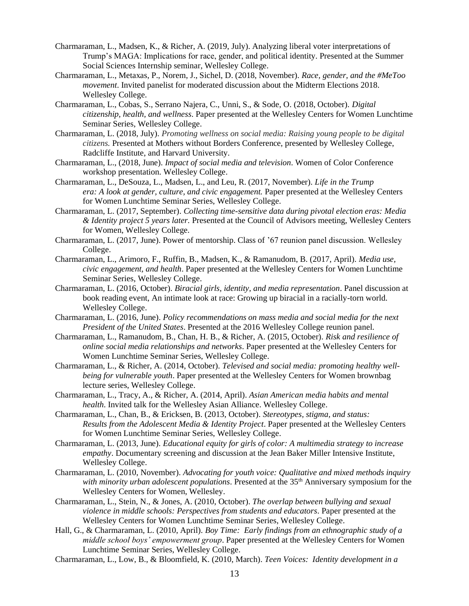- Charmaraman, L., Madsen, K., & Richer, A. (2019, July). Analyzing liberal voter interpretations of Trump's MAGA: Implications for race, gender, and political identity. Presented at the Summer Social Sciences Internship seminar, Wellesley College.
- Charmaraman, L., Metaxas, P., Norem, J., Sichel, D. (2018, November). *Race, gender, and the #MeToo movement*. Invited panelist for moderated discussion about the Midterm Elections 2018. Wellesley College.
- Charmaraman, L., Cobas, S., Serrano Najera, C., Unni, S., & Sode, O. (2018, October). *Digital citizenship, health, and wellness*. Paper presented at the Wellesley Centers for Women Lunchtime Seminar Series, Wellesley College.
- Charmaraman, L. (2018, July). *Promoting wellness on social media: Raising young people to be digital citizens.* Presented at Mothers without Borders Conference, presented by Wellesley College, Radcliffe Institute, and Harvard University.
- Charmaraman, L., (2018, June). *Impact of social media and television*. Women of Color Conference workshop presentation. Wellesley College.
- Charmaraman, L., DeSouza, L., Madsen, L., and Leu, R. (2017, November). *Life in the Trump era: A look at gender, culture, and civic engagement.* Paper presented at the Wellesley Centers for Women Lunchtime Seminar Series, Wellesley College.
- Charmaraman, L. (2017, September). *Collecting time-sensitive data during pivotal election eras: Media & Identity project 5 years later.* Presented at the Council of Advisors meeting, Wellesley Centers for Women, Wellesley College.
- Charmaraman, L. (2017, June). Power of mentorship. Class of '67 reunion panel discussion. Wellesley College.
- Charmaraman, L., Arimoro, F., Ruffin, B., Madsen, K., & Ramanudom, B. (2017, April). *Media use, civic engagement, and health*. Paper presented at the Wellesley Centers for Women Lunchtime Seminar Series, Wellesley College.
- Charmaraman, L. (2016, October). *Biracial girls, identity, and media representation*. Panel discussion at book reading event, An intimate look at race: Growing up biracial in a racially-torn world. Wellesley College.
- Charmaraman, L. (2016, June). *Policy recommendations on mass media and social media for the next President of the United States*. Presented at the 2016 Wellesley College reunion panel.
- Charmaraman, L., Ramanudom, B., Chan, H. B., & Richer, A. (2015, October). *Risk and resilience of online social media relationships and networks*. Paper presented at the Wellesley Centers for Women Lunchtime Seminar Series, Wellesley College.
- Charmaraman, L., & Richer, A. (2014, October). *Televised and social media: promoting healthy wellbeing for vulnerable youth*. Paper presented at the Wellesley Centers for Women brownbag lecture series, Wellesley College.
- Charmaraman, L., Tracy, A., & Richer, A. (2014, April). *Asian American media habits and mental health*. Invited talk for the Wellesley Asian Alliance. Wellesley College.
- Charmaraman, L., Chan, B., & Ericksen, B. (2013, October). *Stereotypes, stigma, and status: Results from the Adolescent Media & Identity Project*. Paper presented at the Wellesley Centers for Women Lunchtime Seminar Series, Wellesley College.
- Charmaraman, L. (2013, June). *Educational equity for girls of color: A multimedia strategy to increase empathy*. Documentary screening and discussion at the Jean Baker Miller Intensive Institute, Wellesley College.
- Charmaraman, L. (2010, November). *Advocating for youth voice: Qualitative and mixed methods inquiry*  with minority urban adolescent populations. Presented at the 35<sup>th</sup> Anniversary symposium for the Wellesley Centers for Women, Wellesley.
- Charmaraman, L., Stein, N., & Jones, A. (2010, October). *The overlap between bullying and sexual violence in middle schools: Perspectives from students and educators*. Paper presented at the Wellesley Centers for Women Lunchtime Seminar Series, Wellesley College.
- Hall, G., & Charmaraman, L. (2010, April). *Boy Time: Early findings from an ethnographic study of a middle school boys' empowerment group*. Paper presented at the Wellesley Centers for Women Lunchtime Seminar Series, Wellesley College.
- Charmaraman, L., Low, B., & Bloomfield, K. (2010, March). *Teen Voices: Identity development in a*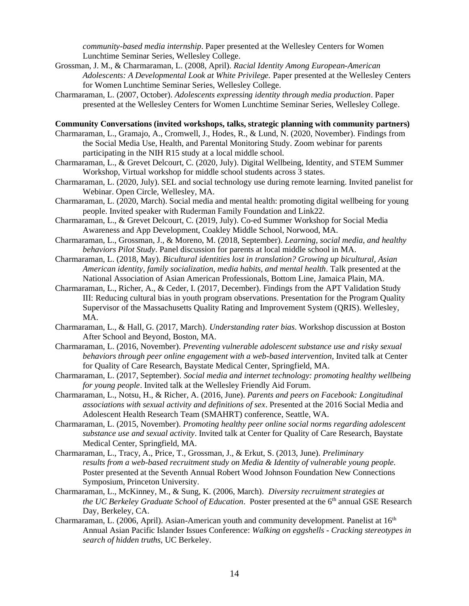*community-based media internship*. Paper presented at the Wellesley Centers for Women Lunchtime Seminar Series, Wellesley College.

- Grossman, J. M., & Charmaraman, L. (2008, April). *Racial Identity Among European-American Adolescents: A Developmental Look at White Privilege.* Paper presented at the Wellesley Centers for Women Lunchtime Seminar Series, Wellesley College.
- Charmaraman, L. (2007, October). *Adolescents expressing identity through media production*. Paper presented at the Wellesley Centers for Women Lunchtime Seminar Series, Wellesley College.

#### **Community Conversations (invited workshops, talks, strategic planning with community partners)**

- Charmaraman, L., Gramajo, A., Cromwell, J., Hodes, R., & Lund, N. (2020, November). Findings from the Social Media Use, Health, and Parental Monitoring Study. Zoom webinar for parents participating in the NIH R15 study at a local middle school.
- Charmaraman, L., & Grevet Delcourt, C. (2020, July). Digital Wellbeing, Identity, and STEM Summer Workshop, Virtual workshop for middle school students across 3 states.
- Charmaraman, L. (2020, July). SEL and social technology use during remote learning. Invited panelist for Webinar. Open Circle, Wellesley, MA.
- Charmaraman, L. (2020, March). Social media and mental health: promoting digital wellbeing for young people. Invited speaker with Ruderman Family Foundation and Link22.
- Charmaraman, L., & Grevet Delcourt, C. (2019, July). Co-ed Summer Workshop for Social Media Awareness and App Development, Coakley Middle School, Norwood, MA.
- Charmaraman, L., Grossman, J., & Moreno, M. (2018, September). *Learning, social media, and healthy behaviors Pilot Study*. Panel discussion for parents at local middle school in MA.
- Charmaraman, L. (2018, May). *Bicultural identities lost in translation? Growing up bicultural, Asian American identity, family socialization, media habits, and mental health*. Talk presented at the National Association of Asian American Professionals, Bottom Line, Jamaica Plain, MA.
- Charmaraman, L., Richer, A., & Ceder, I. (2017, December). Findings from the APT Validation Study III: Reducing cultural bias in youth program observations. Presentation for the Program Quality Supervisor of the Massachusetts Quality Rating and Improvement System (QRIS). Wellesley, MA.
- Charmaraman, L., & Hall, G. (2017, March). *Understanding rater bias*. Workshop discussion at Boston After School and Beyond, Boston, MA.
- Charmaraman, L. (2016, November). *Preventing vulnerable adolescent substance use and risky sexual behaviors through peer online engagement with a web-based intervention*, Invited talk at Center for Quality of Care Research, Baystate Medical Center, Springfield, MA.
- Charmaraman, L. (2017, September). *Social media and internet technology: promoting healthy wellbeing for young people*. Invited talk at the Wellesley Friendly Aid Forum.
- Charmaraman, L., Notsu, H., & Richer, A. (2016, June). *Parents and peers on Facebook: Longitudinal associations with sexual activity and definitions of sex*. Presented at the 2016 Social Media and Adolescent Health Research Team (SMAHRT) conference, Seattle, WA.
- Charmaraman, L. (2015, November). *Promoting healthy peer online social norms regarding adolescent substance use and sexual activity*. Invited talk at Center for Quality of Care Research, Baystate Medical Center, Springfield, MA.
- Charmaraman, L., Tracy, A., Price, T., Grossman, J., & Erkut, S. (2013, June). *Preliminary results from a web-based recruitment study on Media & Identity of vulnerable young people.* Poster presented at the Seventh Annual Robert Wood Johnson Foundation New Connections Symposium, Princeton University.
- Charmaraman, L., McKinney, M., & Sung, K. (2006, March). *Diversity recruitment strategies at the UC Berkeley Graduate School of Education*. Poster presented at the 6<sup>th</sup> annual GSE Research Day, Berkeley, CA.
- Charmaraman, L. (2006, April). Asian*-*American youth and community development. Panelist at 16th Annual Asian Pacific Islander Issues Conference: *Walking on eggshells - Cracking stereotypes in search of hidden truths*, UC Berkeley.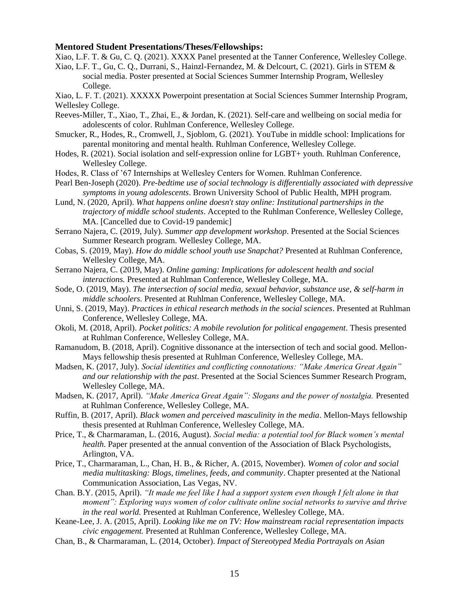## **Mentored Student Presentations/Theses/Fellowships:**

Xiao, L.F. T. & Gu, C. Q. (2021). XXXX Panel presented at the Tanner Conference, Wellesley College.

Xiao, L.F. T., Gu, C. Q., Durrani, S., Hainzl-Fernandez, M. & Delcourt, C. (2021). Girls in STEM & social media. Poster presented at Social Sciences Summer Internship Program, Wellesley College.

Xiao, L. F. T. (2021). XXXXX Powerpoint presentation at Social Sciences Summer Internship Program, Wellesley College.

Reeves-Miller, T., Xiao, T., Zhai, E., & Jordan, K. (2021). Self-care and wellbeing on social media for adolescents of color. Ruhlman Conference, Wellesley College.

- Smucker, R., Hodes, R., Cromwell, J., Sjoblom, G. (2021). YouTube in middle school: Implications for parental monitoring and mental health. Ruhlman Conference, Wellesley College.
- Hodes, R. (2021). Social isolation and self-expression online for LGBT+ youth. Ruhlman Conference, Wellesley College.
- Hodes, R. Class of '67 Internships at Wellesley Centers for Women. Ruhlman Conference.
- Pearl Ben-Joseph (2020). *Pre-bedtime use of social technology is differentially associated with depressive symptoms in young adolescents*. Brown University School of Public Health, MPH program.
- Lund, N. (2020, April). *What happens online doesn't stay online: Institutional partnerships in the trajectory of middle school students*. Accepted to the Ruhlman Conference, Wellesley College, MA. [Cancelled due to Covid-19 pandemic]
- Serrano Najera, C. (2019, July). *Summer app development workshop*. Presented at the Social Sciences Summer Research program. Wellesley College, MA.
- Cobas, S. (2019, May). *How do middle school youth use Snapchat?* Presented at Ruhlman Conference, Wellesley College, MA.
- Serrano Najera, C. (2019, May). *Online gaming: Implications for adolescent health and social interactions.* Presented at Ruhlman Conference, Wellesley College, MA.
- Sode, O. (2019, May). *The intersection of social media, sexual behavior, substance use, & self-harm in middle schoolers.* Presented at Ruhlman Conference, Wellesley College, MA.
- Unni, S. (2019, May). *Practices in ethical research methods in the social sciences*. Presented at Ruhlman Conference, Wellesley College, MA.
- Okoli, M. (2018, April). *Pocket politics: A mobile revolution for political engagement*. Thesis presented at Ruhlman Conference, Wellesley College, MA.
- Ramanudom, B. (2018, April). Cognitive dissonance at the intersection of tech and social good. Mellon-Mays fellowship thesis presented at Ruhlman Conference, Wellesley College, MA.
- Madsen, K. (2017, July). *Social identities and conflicting connotations: "Make America Great Again" and our relationship with the past*. Presented at the Social Sciences Summer Research Program, Wellesley College, MA.
- Madsen, K. (2017, April). *"Make America Great Again": Slogans and the power of nostalgia.* Presented at Ruhlman Conference, Wellesley College, MA.
- Ruffin, B. (2017, April). *Black women and perceived masculinity in the media*. Mellon-Mays fellowship thesis presented at Ruhlman Conference, Wellesley College, MA.
- Price, T., & Charmaraman, L. (2016, August). *Social media: a potential tool for Black women's mental health*. Paper presented at the annual convention of the Association of Black Psychologists, Arlington, VA.
- Price, T., Charmaraman, L., Chan, H. B., & Richer, A. (2015, November). *Women of color and social media multitasking: Blogs, timelines, feeds, and community*. Chapter presented at the National Communication Association, Las Vegas, NV.
- Chan. B.Y. (2015, April). *"It made me feel like I had a support system even though I felt alone in that moment": Exploring ways women of color cultivate online social networks to survive and thrive in the real world.* Presented at Ruhlman Conference, Wellesley College, MA.
- Keane-Lee, J. A. (2015, April). *Looking like me on TV: How mainstream racial representation impacts civic engagement.* Presented at Ruhlman Conference, Wellesley College, MA.
- Chan, B., & Charmaraman, L. (2014, October). *Impact of Stereotyped Media Portrayals on Asian*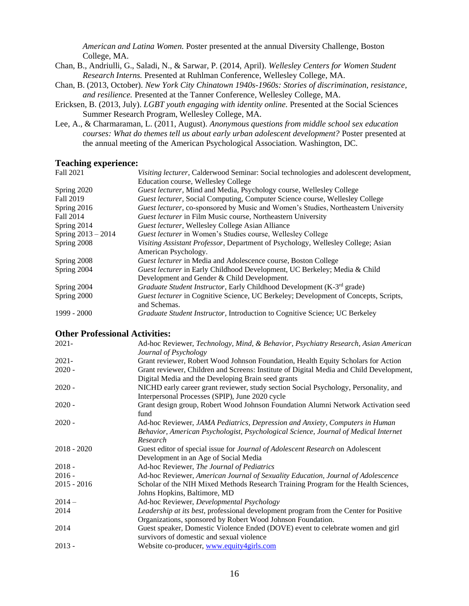*American and Latina Women.* Poster presented at the annual Diversity Challenge, Boston College, MA.

- Chan, B., Andriulli, G., Saladi, N., & Sarwar, P. (2014, April). *Wellesley Centers for Women Student Research Interns.* Presented at Ruhlman Conference, Wellesley College, MA.
- Chan, B. (2013, October). *New York City Chinatown 1940s-1960s: Stories of discrimination, resistance, and resilience.* Presented at the Tanner Conference, Wellesley College, MA.
- Ericksen, B. (2013, July). *LGBT youth engaging with identity online.* Presented at the Social Sciences Summer Research Program, Wellesley College, MA.
- Lee, A., & Charmaraman, L. (2011, August). *Anonymous questions from middle school sex education courses: What do themes tell us about early urban adolescent development?* Poster presented at the annual meeting of the American Psychological Association. Washington, DC.

## **Teaching experience:**

| Fall 2021          | Visiting lecturer, Calderwood Seminar: Social technologies and adolescent development, |
|--------------------|----------------------------------------------------------------------------------------|
|                    | Education course, Wellesley College                                                    |
| Spring 2020        | Guest lecturer, Mind and Media, Psychology course, Wellesley College                   |
| Fall 2019          | Guest lecturer, Social Computing, Computer Science course, Wellesley College           |
| Spring $2016$      | Guest lecturer, co-sponsored by Music and Women's Studies, Northeastern University     |
| Fall 2014          | <b>Guest lecturer in Film Music course, Northeastern University</b>                    |
| Spring 2014        | Guest lecturer, Wellesley College Asian Alliance                                       |
| Spring 2013 - 2014 | <i>Guest lecturer</i> in Women's Studies course, Wellesley College                     |
| Spring 2008        | Visiting Assistant Professor, Department of Psychology, Wellesley College; Asian       |
|                    | American Psychology.                                                                   |
| Spring 2008        | <i>Guest lecturer</i> in Media and Adolescence course, Boston College                  |
| Spring 2004        | Guest lecturer in Early Childhood Development, UC Berkeley; Media & Child              |
|                    | Development and Gender & Child Development.                                            |
| Spring 2004        | Graduate Student Instructor, Early Childhood Development (K-3 <sup>rd</sup> grade)     |
| Spring 2000        | Guest lecturer in Cognitive Science, UC Berkeley; Development of Concepts, Scripts,    |
|                    | and Schemas.                                                                           |
| $1999 - 2000$      | Graduate Student Instructor, Introduction to Cognitive Science; UC Berkeley            |

## **Other Professional Activities:**

| $2021 -$      | Ad-hoc Reviewer, Technology, Mind, & Behavior, Psychiatry Research, Asian American<br>Journal of Psychology                                                                     |
|---------------|---------------------------------------------------------------------------------------------------------------------------------------------------------------------------------|
| $2021 -$      | Grant reviewer, Robert Wood Johnson Foundation, Health Equity Scholars for Action                                                                                               |
| $2020 -$      | Grant reviewer, Children and Screens: Institute of Digital Media and Child Development,<br>Digital Media and the Developing Brain seed grants                                   |
| $2020 -$      | NICHD early career grant reviewer, study section Social Psychology, Personality, and<br>Interpersonal Processes (SPIP), June 2020 cycle                                         |
| $2020 -$      | Grant design group, Robert Wood Johnson Foundation Alumni Network Activation seed<br>fund                                                                                       |
| $2020 -$      | Ad-hoc Reviewer, JAMA Pediatrics, Depression and Anxiety, Computers in Human<br>Behavior, American Psychologist, Psychological Science, Journal of Medical Internet<br>Research |
| $2018 - 2020$ | Guest editor of special issue for Journal of Adolescent Research on Adolescent<br>Development in an Age of Social Media                                                         |
| $2018 -$      | Ad-hoc Reviewer, The Journal of Pediatrics                                                                                                                                      |
| $2016 -$      | Ad-hoc Reviewer, American Journal of Sexuality Education, Journal of Adolescence                                                                                                |
| $2015 - 2016$ | Scholar of the NIH Mixed Methods Research Training Program for the Health Sciences,<br>Johns Hopkins, Baltimore, MD                                                             |
| $2014-$       | Ad-hoc Reviewer, Developmental Psychology                                                                                                                                       |
| 2014          | Leadership at its best, professional development program from the Center for Positive<br>Organizations, sponsored by Robert Wood Johnson Foundation.                            |
| 2014          | Guest speaker, Domestic Violence Ended (DOVE) event to celebrate women and girl<br>survivors of domestic and sexual violence                                                    |
| $2013 -$      | Website co-producer, www.equity4girls.com                                                                                                                                       |